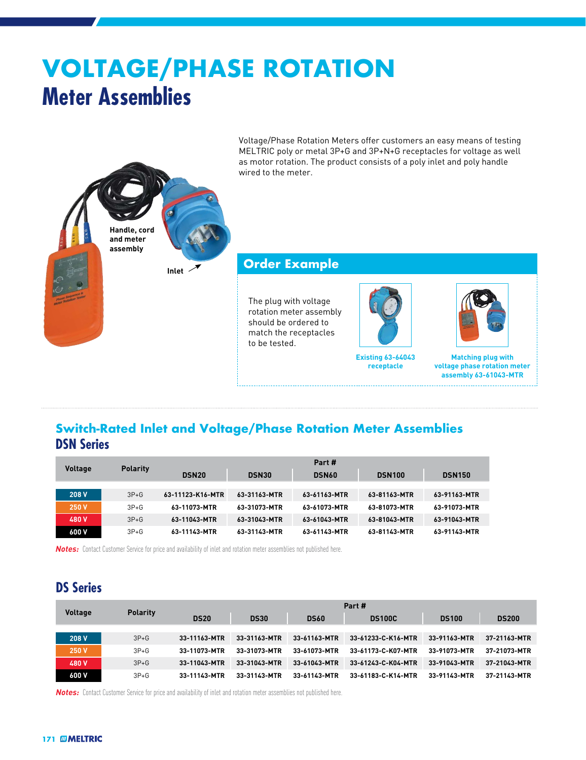# **VOLTAGE/PHASE ROTATION Meter Assemblies**



#### **Order Example**

The plug with voltage rotation meter assembly should be ordered to match the receptacles to be tested.



**Existing 63-64043 receptacle**



**Matching plug with voltage phase rotation meter assembly 63-61043-MTR**

#### **Switch-Rated Inlet and Voltage/Phase Rotation Meter Assemblies DSN Series**

| <b>Voltage</b> | <b>Polarity</b> | Part#            |              |              |               |               |  |  |
|----------------|-----------------|------------------|--------------|--------------|---------------|---------------|--|--|
|                |                 | <b>DSN20</b>     | <b>DSN30</b> | <b>DSN60</b> | <b>DSN100</b> | <b>DSN150</b> |  |  |
|                |                 |                  |              |              |               |               |  |  |
| 208 V          | $3P+G$          | 63-11123-K16-MTR | 63-31163-MTR | 63-61163-MTR | 63-81163-MTR  | 63-91163-MTR  |  |  |
| 250 V          | $3P + G$        | 63-11073-MTR     | 63-31073-MTR | 63-61073-MTR | 63-81073-MTR  | 63-91073-MTR  |  |  |
| 480 V          | $3P+G$          | 63-11043-MTR     | 63-31043-MTR | 63-61043-MTR | 63-81043-MTR  | 63-91043-MTR  |  |  |
| 600 V          | $3P + G$        | 63-11143-MTR     | 63-31143-MTR | 63-61143-MTR | 63-81143-MTR  | 63-91143-MTR  |  |  |

*Notes:* Contact Customer Service for price and availability of inlet and rotation meter assemblies not published here.

**Inlet**

**Handle, cord and meter assembly**

### **DS Series**

| <b>Voltage</b> | <b>Polarity</b> | Part #       |              |              |                    |              |              |  |  |
|----------------|-----------------|--------------|--------------|--------------|--------------------|--------------|--------------|--|--|
|                |                 | <b>DS20</b>  | <b>DS30</b>  | <b>DS60</b>  | <b>DS100C</b>      | <b>DS100</b> | <b>DS200</b> |  |  |
|                |                 |              |              |              |                    |              |              |  |  |
| 208 V          | $3P+G$          | 33-11163-MTR | 33-31163-MTR | 33-61163-MTR | 33-61233-C-K16-MTR | 33-91163-MTR | 37-21163-MTR |  |  |
| 250 V          | $3P+G$          | 33-11073-MTR | 33-31073-MTR | 33-61073-MTR | 33-61173-C-K07-MTR | 33-91073-MTR | 37-21073-MTR |  |  |
| 480 V          | $3P+G$          | 33-11043-MTR | 33-31043-MTR | 33-61043-MTR | 33-61243-C-K04-MTR | 33-91043-MTR | 37-21043-MTR |  |  |
| 600 V          | $3P+G$          | 33-11143-MTR | 33-31143-MTR | 33-61143-MTR | 33-61183-C-K14-MTR | 33-91143-MTR | 37-21143-MTR |  |  |

**Notes:** Contact Customer Service for price and availability of inlet and rotation meter assemblies not published here.